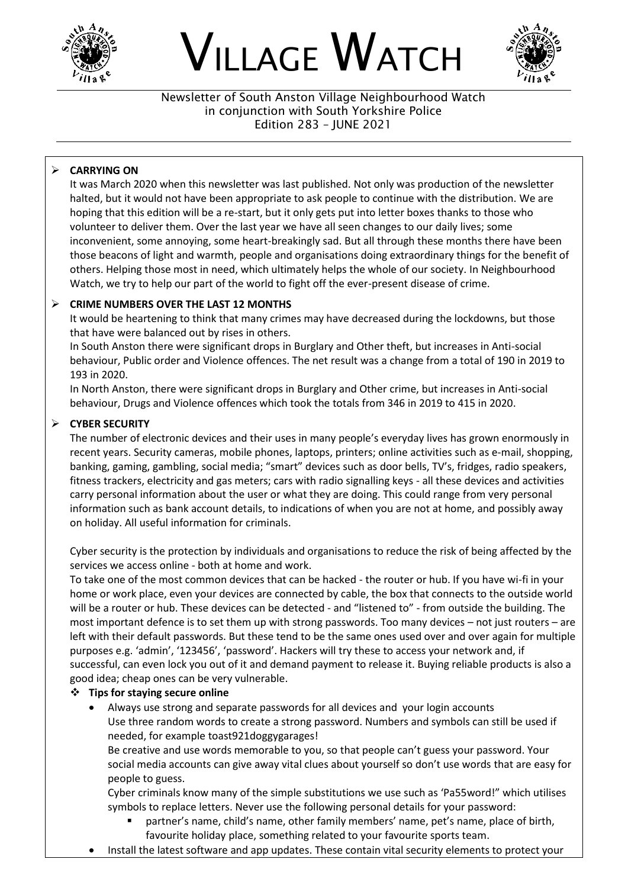

# VILLAGE WATCH



Newsletter of South Anston Village Neighbourhood Watch in conjunction with South Yorkshire Police Edition 283 – JUNE 2021

## ➢ **CARRYING ON**

It was March 2020 when this newsletter was last published. Not only was production of the newsletter halted, but it would not have been appropriate to ask people to continue with the distribution. We are hoping that this edition will be a re-start, but it only gets put into letter boxes thanks to those who volunteer to deliver them. Over the last year we have all seen changes to our daily lives; some inconvenient, some annoying, some heart-breakingly sad. But all through these months there have been those beacons of light and warmth, people and organisations doing extraordinary things for the benefit of others. Helping those most in need, which ultimately helps the whole of our society. In Neighbourhood Watch, we try to help our part of the world to fight off the ever-present disease of crime.

#### ➢ **CRIME NUMBERS OVER THE LAST 12 MONTHS**

It would be heartening to think that many crimes may have decreased during the lockdowns, but those that have were balanced out by rises in others.

In South Anston there were significant drops in Burglary and Other theft, but increases in Anti-social behaviour, Public order and Violence offences. The net result was a change from a total of 190 in 2019 to 193 in 2020.

In North Anston, there were significant drops in Burglary and Other crime, but increases in Anti-social behaviour, Drugs and Violence offences which took the totals from 346 in 2019 to 415 in 2020.

#### ➢ **CYBER SECURITY**

The number of electronic devices and their uses in many people's everyday lives has grown enormously in recent years. Security cameras, mobile phones, laptops, printers; online activities such as e-mail, shopping, banking, gaming, gambling, social media; "smart" devices such as door bells, TV's, fridges, radio speakers, fitness trackers, electricity and gas meters; cars with radio signalling keys - all these devices and activities carry personal information about the user or what they are doing. This could range from very personal information such as bank account details, to indications of when you are not at home, and possibly away on holiday. All useful information for criminals.

Cyber security is the protection by individuals and organisations to reduce the risk of being affected by the services we access online - both at home and work.

To take one of the most common devices that can be hacked - the router or hub. If you have wi-fi in your home or work place, even your devices are connected by cable, the box that connects to the outside world will be a router or hub. These devices can be detected - and "listened to" - from outside the building. The most important defence is to set them up with strong passwords. Too many devices – not just routers – are left with their default passwords. But these tend to be the same ones used over and over again for multiple purposes e.g. 'admin', '123456', 'password'. Hackers will try these to access your network and, if successful, can even lock you out of it and demand payment to release it. Buying reliable products is also a good idea; cheap ones can be very vulnerable.

#### ❖ **Tips for staying secure online**

• Always use strong and separate passwords for all devices and your login accounts Use three random words to create a strong password. Numbers and symbols can still be used if needed, for example toast921doggygarages!

Be creative and use words memorable to you, so that people can't guess your password. Your social media accounts can give away vital clues about yourself so don't use words that are easy for people to guess.

Cyber criminals know many of the simple substitutions we use such as 'Pa55word!" which utilises symbols to replace letters. Never use the following personal details for your password:

- partner's name, child's name, other family members' name, pet's name, place of birth, favourite holiday place, something related to your favourite sports team.
- Install the latest software and app updates. These contain vital security elements to protect your